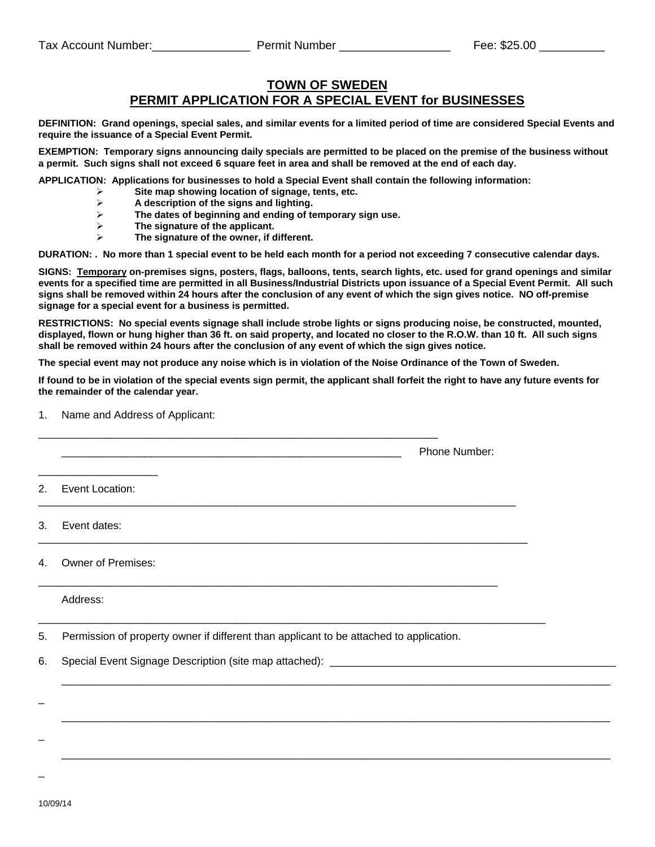## **TOWN OF SWEDEN PERMIT APPLICATION FOR A SPECIAL EVENT for BUSINESSES**

**DEFINITION: Grand openings, special sales, and similar events for a limited period of time are considered Special Events and require the issuance of a Special Event Permit.** 

**EXEMPTION: Temporary signs announcing daily specials are permitted to be placed on the premise of the business without a permit. Such signs shall not exceed 6 square feet in area and shall be removed at the end of each day.** 

**APPLICATION: Applications for businesses to hold a Special Event shall contain the following information:** 

- **Site map showing location of signage, tents, etc.**
- **A description of the signs and lighting.**
- **The dates of beginning and ending of temporary sign use.**
- **The signature of the applicant.**

1. Name and Address of Applicant:

**The signature of the owner, if different.** 

**DURATION: . No more than 1 special event to be held each month for a period not exceeding 7 consecutive calendar days.** 

**SIGNS: Temporary on-premises signs, posters, flags, balloons, tents, search lights, etc. used for grand openings and similar events for a specified time are permitted in all Business/Industrial Districts upon issuance of a Special Event Permit. All such signs shall be removed within 24 hours after the conclusion of any event of which the sign gives notice. NO off-premise signage for a special event for a business is permitted.** 

**RESTRICTIONS: No special events signage shall include strobe lights or signs producing noise, be constructed, mounted, displayed, flown or hung higher than 36 ft. on said property, and located no closer to the R.O.W. than 10 ft. All such signs shall be removed within 24 hours after the conclusion of any event of which the sign gives notice.** 

**The special event may not produce any noise which is in violation of the Noise Ordinance of the Town of Sweden.** 

**If found to be in violation of the special events sign permit, the applicant shall forfeit the right to have any future events for the remainder of the calendar year.** 

 $\overline{\phantom{a}}$  ,  $\overline{\phantom{a}}$  ,  $\overline{\phantom{a}}$  ,  $\overline{\phantom{a}}$  ,  $\overline{\phantom{a}}$  ,  $\overline{\phantom{a}}$  ,  $\overline{\phantom{a}}$  ,  $\overline{\phantom{a}}$  ,  $\overline{\phantom{a}}$  ,  $\overline{\phantom{a}}$  ,  $\overline{\phantom{a}}$  ,  $\overline{\phantom{a}}$  ,  $\overline{\phantom{a}}$  ,  $\overline{\phantom{a}}$  ,  $\overline{\phantom{a}}$  ,  $\overline{\phantom{a}}$ 

 $\overline{\phantom{a}}$  ,  $\overline{\phantom{a}}$  ,  $\overline{\phantom{a}}$  ,  $\overline{\phantom{a}}$  ,  $\overline{\phantom{a}}$  ,  $\overline{\phantom{a}}$  ,  $\overline{\phantom{a}}$  ,  $\overline{\phantom{a}}$  ,  $\overline{\phantom{a}}$  ,  $\overline{\phantom{a}}$  ,  $\overline{\phantom{a}}$  ,  $\overline{\phantom{a}}$  ,  $\overline{\phantom{a}}$  ,  $\overline{\phantom{a}}$  ,  $\overline{\phantom{a}}$  ,  $\overline{\phantom{a}}$ 

 $\overline{\phantom{a}}$  ,  $\overline{\phantom{a}}$  ,  $\overline{\phantom{a}}$  ,  $\overline{\phantom{a}}$  ,  $\overline{\phantom{a}}$  ,  $\overline{\phantom{a}}$  ,  $\overline{\phantom{a}}$  ,  $\overline{\phantom{a}}$  ,  $\overline{\phantom{a}}$  ,  $\overline{\phantom{a}}$  ,  $\overline{\phantom{a}}$  ,  $\overline{\phantom{a}}$  ,  $\overline{\phantom{a}}$  ,  $\overline{\phantom{a}}$  ,  $\overline{\phantom{a}}$  ,  $\overline{\phantom{a}}$ 

| 1. Name and Address of Applicant: |               |
|-----------------------------------|---------------|
|                                   | Phone Number: |
| 2. Event Location:                |               |
| 3. Event dates:                   |               |
| 4. Owner of Premises:             |               |
| Address:                          |               |

5. Permission of property owner if different than applicant to be attached to application.

6. Special Event Signage Description (site map attached): \_\_\_\_\_\_\_\_\_\_\_\_\_\_\_\_\_\_\_\_\_\_

10/09/14

 $\overline{a}$ 

 $\overline{a}$ 

 $\overline{a}$